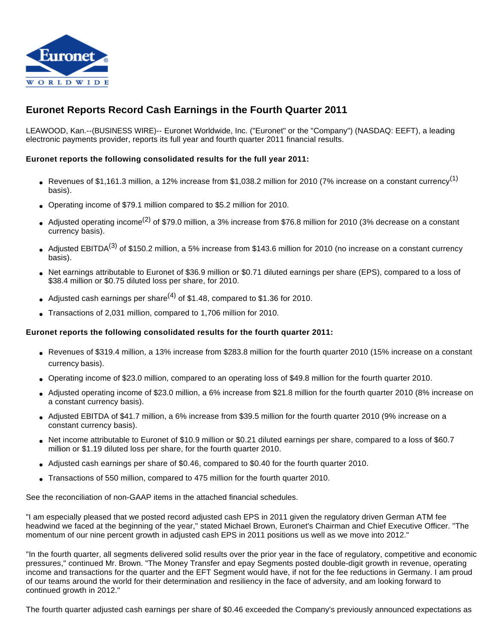

# **Euronet Reports Record Cash Earnings in the Fourth Quarter 2011**

LEAWOOD, Kan.--(BUSINESS WIRE)-- Euronet Worldwide, Inc. ("Euronet" or the "Company") (NASDAQ: EEFT), a leading electronic payments provider, reports its full year and fourth quarter 2011 financial results.

## **Euronet reports the following consolidated results for the full year 2011:**

- Revenues of \$1,161.3 million, a 12% increase from \$1,038.2 million for 2010 (7% increase on a constant currency<sup>(1)</sup> basis).
- Operating income of \$79.1 million compared to \$5.2 million for 2010.
- Adjusted operating income<sup>(2)</sup> of \$79.0 million, a 3% increase from \$76.8 million for 2010 (3% decrease on a constant currency basis).
- Adjusted EBITDA<sup>(3)</sup> of \$150.2 million, a 5% increase from \$143.6 million for 2010 (no increase on a constant currency basis).
- Net earnings attributable to Euronet of \$36.9 million or \$0.71 diluted earnings per share (EPS), compared to a loss of \$38.4 million or \$0.75 diluted loss per share, for 2010.
- Adjusted cash earnings per share<sup>(4)</sup> of \$1.48, compared to \$1.36 for 2010.
- Transactions of 2,031 million, compared to 1,706 million for 2010.

#### **Euronet reports the following consolidated results for the fourth quarter 2011:**

- Revenues of \$319.4 million, a 13% increase from \$283.8 million for the fourth quarter 2010 (15% increase on a constant currency basis).
- Operating income of \$23.0 million, compared to an operating loss of \$49.8 million for the fourth quarter 2010.
- Adjusted operating income of \$23.0 million, a 6% increase from \$21.8 million for the fourth quarter 2010 (8% increase on a constant currency basis).
- Adjusted EBITDA of \$41.7 million, a 6% increase from \$39.5 million for the fourth quarter 2010 (9% increase on a constant currency basis).
- Net income attributable to Euronet of \$10.9 million or \$0.21 diluted earnings per share, compared to a loss of \$60.7 million or \$1.19 diluted loss per share, for the fourth quarter 2010.
- Adjusted cash earnings per share of \$0.46, compared to \$0.40 for the fourth quarter 2010.
- Transactions of 550 million, compared to 475 million for the fourth quarter 2010.

See the reconciliation of non-GAAP items in the attached financial schedules.

"I am especially pleased that we posted record adjusted cash EPS in 2011 given the regulatory driven German ATM fee headwind we faced at the beginning of the year," stated Michael Brown, Euronet's Chairman and Chief Executive Officer. "The momentum of our nine percent growth in adjusted cash EPS in 2011 positions us well as we move into 2012."

"In the fourth quarter, all segments delivered solid results over the prior year in the face of regulatory, competitive and economic pressures," continued Mr. Brown. "The Money Transfer and epay Segments posted double-digit growth in revenue, operating income and transactions for the quarter and the EFT Segment would have, if not for the fee reductions in Germany. I am proud of our teams around the world for their determination and resiliency in the face of adversity, and am looking forward to continued growth in 2012."

The fourth quarter adjusted cash earnings per share of \$0.46 exceeded the Company's previously announced expectations as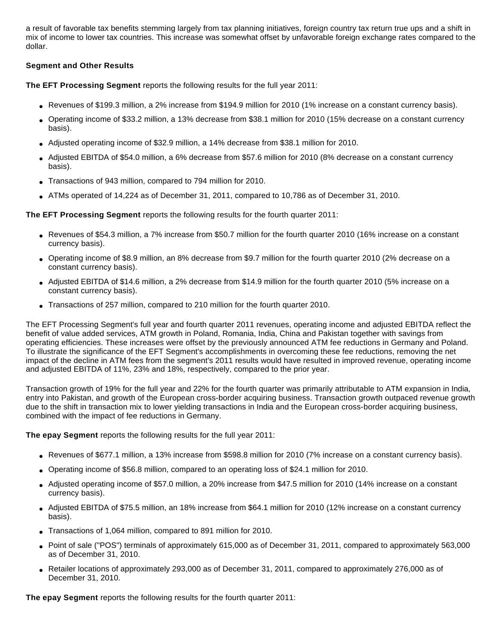a result of favorable tax benefits stemming largely from tax planning initiatives, foreign country tax return true ups and a shift in mix of income to lower tax countries. This increase was somewhat offset by unfavorable foreign exchange rates compared to the dollar.

## **Segment and Other Results**

**The EFT Processing Segment** reports the following results for the full year 2011:

- Revenues of \$199.3 million, a 2% increase from \$194.9 million for 2010 (1% increase on a constant currency basis).
- Operating income of \$33.2 million, a 13% decrease from \$38.1 million for 2010 (15% decrease on a constant currency basis).
- Adjusted operating income of \$32.9 million, a 14% decrease from \$38.1 million for 2010.
- Adjusted EBITDA of \$54.0 million, a 6% decrease from \$57.6 million for 2010 (8% decrease on a constant currency basis).
- Transactions of 943 million, compared to 794 million for 2010.
- $\bullet$  ATMs operated of 14,224 as of December 31, 2011, compared to 10,786 as of December 31, 2010.

**The EFT Processing Segment** reports the following results for the fourth quarter 2011:

- Revenues of \$54.3 million, a 7% increase from \$50.7 million for the fourth quarter 2010 (16% increase on a constant currency basis).
- Operating income of \$8.9 million, an 8% decrease from \$9.7 million for the fourth quarter 2010 (2% decrease on a constant currency basis).
- Adjusted EBITDA of \$14.6 million, a 2% decrease from \$14.9 million for the fourth quarter 2010 (5% increase on a constant currency basis).
- Transactions of 257 million, compared to 210 million for the fourth quarter 2010.

The EFT Processing Segment's full year and fourth quarter 2011 revenues, operating income and adjusted EBITDA reflect the benefit of value added services, ATM growth in Poland, Romania, India, China and Pakistan together with savings from operating efficiencies. These increases were offset by the previously announced ATM fee reductions in Germany and Poland. To illustrate the significance of the EFT Segment's accomplishments in overcoming these fee reductions, removing the net impact of the decline in ATM fees from the segment's 2011 results would have resulted in improved revenue, operating income and adjusted EBITDA of 11%, 23% and 18%, respectively, compared to the prior year.

Transaction growth of 19% for the full year and 22% for the fourth quarter was primarily attributable to ATM expansion in India, entry into Pakistan, and growth of the European cross-border acquiring business. Transaction growth outpaced revenue growth due to the shift in transaction mix to lower yielding transactions in India and the European cross-border acquiring business, combined with the impact of fee reductions in Germany.

**The epay Segment** reports the following results for the full year 2011:

- Revenues of \$677.1 million, a 13% increase from \$598.8 million for 2010 (7% increase on a constant currency basis).
- Operating income of \$56.8 million, compared to an operating loss of \$24.1 million for 2010.
- Adjusted operating income of \$57.0 million, a 20% increase from \$47.5 million for 2010 (14% increase on a constant currency basis).
- Adjusted EBITDA of \$75.5 million, an 18% increase from \$64.1 million for 2010 (12% increase on a constant currency basis).
- Transactions of 1,064 million, compared to 891 million for 2010.
- Point of sale ("POS") terminals of approximately 615,000 as of December 31, 2011, compared to approximately 563,000 as of December 31, 2010.
- Retailer locations of approximately 293,000 as of December 31, 2011, compared to approximately 276,000 as of December 31, 2010.

**The epay Segment** reports the following results for the fourth quarter 2011: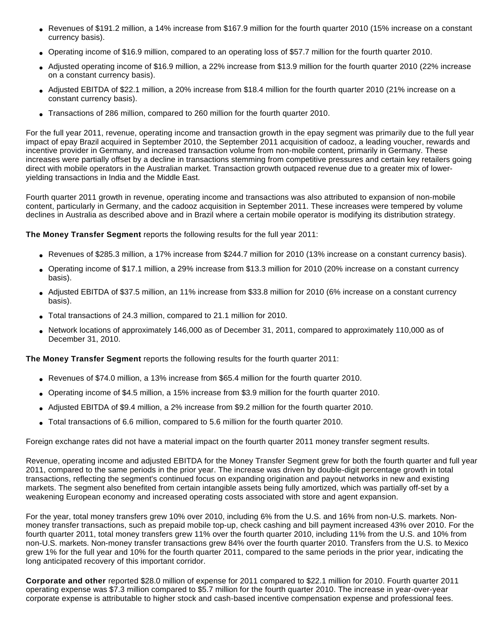- Revenues of \$191.2 million, a 14% increase from \$167.9 million for the fourth quarter 2010 (15% increase on a constant currency basis).
- Operating income of \$16.9 million, compared to an operating loss of \$57.7 million for the fourth quarter 2010.
- Adjusted operating income of \$16.9 million, a 22% increase from \$13.9 million for the fourth quarter 2010 (22% increase on a constant currency basis).
- Adjusted EBITDA of \$22.1 million, a 20% increase from \$18.4 million for the fourth quarter 2010 (21% increase on a constant currency basis).
- Transactions of 286 million, compared to 260 million for the fourth quarter 2010.

For the full year 2011, revenue, operating income and transaction growth in the epay segment was primarily due to the full year impact of epay Brazil acquired in September 2010, the September 2011 acquisition of cadooz, a leading voucher, rewards and incentive provider in Germany, and increased transaction volume from non-mobile content, primarily in Germany. These increases were partially offset by a decline in transactions stemming from competitive pressures and certain key retailers going direct with mobile operators in the Australian market. Transaction growth outpaced revenue due to a greater mix of loweryielding transactions in India and the Middle East.

Fourth quarter 2011 growth in revenue, operating income and transactions was also attributed to expansion of non-mobile content, particularly in Germany, and the cadooz acquisition in September 2011. These increases were tempered by volume declines in Australia as described above and in Brazil where a certain mobile operator is modifying its distribution strategy.

**The Money Transfer Segment** reports the following results for the full year 2011:

- Revenues of \$285.3 million, a 17% increase from \$244.7 million for 2010 (13% increase on a constant currency basis).
- Operating income of \$17.1 million, a 29% increase from \$13.3 million for 2010 (20% increase on a constant currency basis).
- Adjusted EBITDA of \$37.5 million, an 11% increase from \$33.8 million for 2010 (6% increase on a constant currency basis).
- Total transactions of 24.3 million, compared to 21.1 million for 2010.
- Network locations of approximately 146,000 as of December 31, 2011, compared to approximately 110,000 as of December 31, 2010.

**The Money Transfer Segment** reports the following results for the fourth quarter 2011:

- Revenues of \$74.0 million, a 13% increase from \$65.4 million for the fourth quarter 2010.
- Operating income of \$4.5 million, a 15% increase from \$3.9 million for the fourth quarter 2010.
- Adjusted EBITDA of \$9.4 million, a 2% increase from \$9.2 million for the fourth quarter 2010.
- Total transactions of 6.6 million, compared to 5.6 million for the fourth quarter 2010.

Foreign exchange rates did not have a material impact on the fourth quarter 2011 money transfer segment results.

Revenue, operating income and adjusted EBITDA for the Money Transfer Segment grew for both the fourth quarter and full year 2011, compared to the same periods in the prior year. The increase was driven by double-digit percentage growth in total transactions, reflecting the segment's continued focus on expanding origination and payout networks in new and existing markets. The segment also benefited from certain intangible assets being fully amortized, which was partially off-set by a weakening European economy and increased operating costs associated with store and agent expansion.

For the year, total money transfers grew 10% over 2010, including 6% from the U.S. and 16% from non-U.S. markets. Nonmoney transfer transactions, such as prepaid mobile top-up, check cashing and bill payment increased 43% over 2010. For the fourth quarter 2011, total money transfers grew 11% over the fourth quarter 2010, including 11% from the U.S. and 10% from non-U.S. markets. Non-money transfer transactions grew 84% over the fourth quarter 2010. Transfers from the U.S. to Mexico grew 1% for the full year and 10% for the fourth quarter 2011, compared to the same periods in the prior year, indicating the long anticipated recovery of this important corridor.

**Corporate and other** reported \$28.0 million of expense for 2011 compared to \$22.1 million for 2010. Fourth quarter 2011 operating expense was \$7.3 million compared to \$5.7 million for the fourth quarter 2010. The increase in year-over-year corporate expense is attributable to higher stock and cash-based incentive compensation expense and professional fees.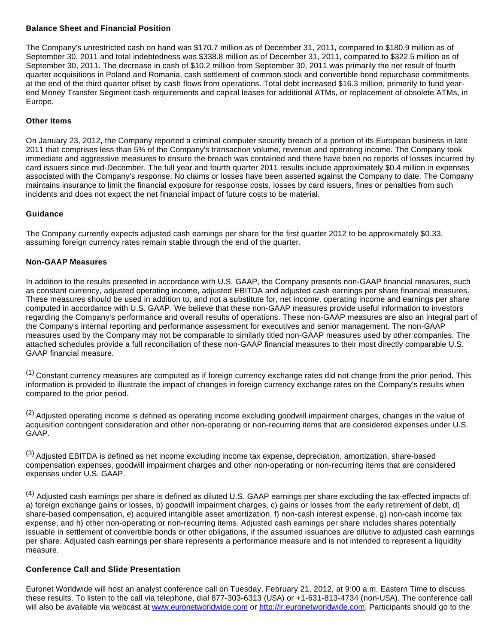#### **Balance Sheet and Financial Position**

The Company's unrestricted cash on hand was \$170.7 million as of December 31, 2011, compared to \$180.9 million as of September 30, 2011 and total indebtedness was \$338.8 million as of December 31, 2011, compared to \$322.5 million as of September 30, 2011. The decrease in cash of \$10.2 million from September 30, 2011 was primarily the net result of fourth quarter acquisitions in Poland and Romania, cash settlement of common stock and convertible bond repurchase commitments at the end of the third quarter offset by cash flows from operations. Total debt increased \$16.3 million, primarily to fund yearend Money Transfer Segment cash requirements and capital leases for additional ATMs, or replacement of obsolete ATMs, in Europe.

# **Other Items**

On January 23, 2012, the Company reported a criminal computer security breach of a portion of its European business in late 2011 that comprises less than 5% of the Company's transaction volume, revenue and operating income. The Company took immediate and aggressive measures to ensure the breach was contained and there have been no reports of losses incurred by card issuers since mid-December. The full year and fourth quarter 2011 results include approximately \$0.4 million in expenses associated with the Company's response. No claims or losses have been asserted against the Company to date. The Company maintains insurance to limit the financial exposure for response costs, losses by card issuers, fines or penalties from such incidents and does not expect the net financial impact of future costs to be material.

# **Guidance**

The Company currently expects adjusted cash earnings per share for the first quarter 2012 to be approximately \$0.33, assuming foreign currency rates remain stable through the end of the quarter.

# **Non-GAAP Measures**

In addition to the results presented in accordance with U.S. GAAP, the Company presents non-GAAP financial measures, such as constant currency, adjusted operating income, adjusted EBITDA and adjusted cash earnings per share financial measures. These measures should be used in addition to, and not a substitute for, net income, operating income and earnings per share computed in accordance with U.S. GAAP. We believe that these non-GAAP measures provide useful information to investors regarding the Company's performance and overall results of operations. These non-GAAP measures are also an integral part of the Company's internal reporting and performance assessment for executives and senior management. The non-GAAP measures used by the Company may not be comparable to similarly titled non-GAAP measures used by other companies. The attached schedules provide a full reconciliation of these non-GAAP financial measures to their most directly comparable U.S. GAAP financial measure.

(1) Constant currency measures are computed as if foreign currency exchange rates did not change from the prior period. This information is provided to illustrate the impact of changes in foreign currency exchange rates on the Company's results when compared to the prior period.

 $<sup>(2)</sup>$  Adjusted operating income is defined as operating income excluding goodwill impairment charges, changes in the value of</sup> acquisition contingent consideration and other non-operating or non-recurring items that are considered expenses under U.S. GAAP.

(3) Adjusted EBITDA is defined as net income excluding income tax expense, depreciation, amortization, share-based compensation expenses, goodwill impairment charges and other non-operating or non-recurring items that are considered expenses under U.S. GAAP.

<sup>(4)</sup> Adjusted cash earnings per share is defined as diluted U.S. GAAP earnings per share excluding the tax-effected impacts of: a) foreign exchange gains or losses, b) goodwill impairment charges, c) gains or losses from the early retirement of debt, d) share-based compensation, e) acquired intangible asset amortization, f) non-cash interest expense, g) non-cash income tax expense, and h) other non-operating or non-recurring items. Adjusted cash earnings per share includes shares potentially issuable in settlement of convertible bonds or other obligations, if the assumed issuances are dilutive to adjusted cash earnings per share. Adjusted cash earnings per share represents a performance measure and is not intended to represent a liquidity measure.

# **Conference Call and Slide Presentation**

Euronet Worldwide will host an analyst conference call on Tuesday, February 21, 2012, at 9:00 a.m. Eastern Time to discuss these results. To listen to the call via telephone, dial 877-303-6313 (USA) or +1-631-813-4734 (non-USA). The conference call will also be available via webcast at [www.euronetworldwide.com](http://cts.businesswire.com/ct/CT?id=smartlink&url=http%3A%2F%2Fwww.euronetworldwide.com&esheet=50175113&lan=en-US&anchor=www.euronetworldwide.com&index=1&md5=944d89b4b54a137d83f4a062351f20fd) or [http://ir.euronetworldwide.com.](http://cts.businesswire.com/ct/CT?id=smartlink&url=http%3A%2F%2Fir.euronetworldwide.com&esheet=50175113&lan=en-US&anchor=http%3A%2F%2Fir.euronetworldwide.com&index=2&md5=444baec6933262daf5237377c3b954bf) Participants should go to the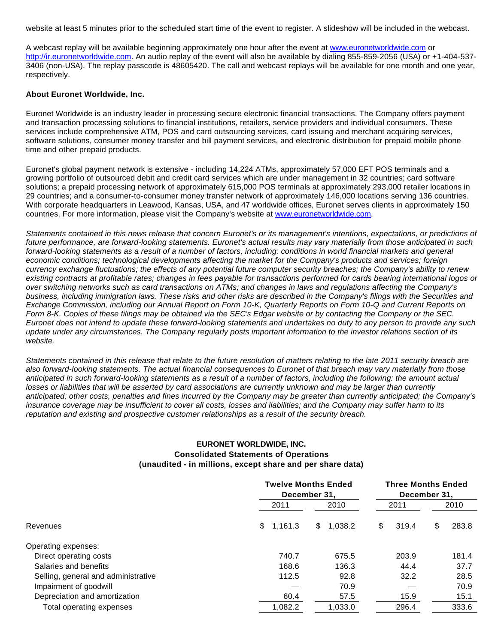website at least 5 minutes prior to the scheduled start time of the event to register. A slideshow will be included in the webcast.

A webcast replay will be available beginning approximately one hour after the event at [www.euronetworldwide.com](http://cts.businesswire.com/ct/CT?id=smartlink&url=http%3A%2F%2Fwww.euronetworldwide.com&esheet=50175113&lan=en-US&anchor=www.euronetworldwide.com&index=3&md5=769f8d2a6bc61b2e6b9c2ce6edd05355) or [http://ir.euronetworldwide.com](http://cts.businesswire.com/ct/CT?id=smartlink&url=http%3A%2F%2Fir.euronetworldwide.com&esheet=50175113&lan=en-US&anchor=http%3A%2F%2Fir.euronetworldwide.com&index=4&md5=0ba9ea0827d82d360d596c9192886842). An audio replay of the event will also be available by dialing 855-859-2056 (USA) or +1-404-537- 3406 (non-USA). The replay passcode is 48605420. The call and webcast replays will be available for one month and one year, respectively.

#### **About Euronet Worldwide, Inc.**

Euronet Worldwide is an industry leader in processing secure electronic financial transactions. The Company offers payment and transaction processing solutions to financial institutions, retailers, service providers and individual consumers. These services include comprehensive ATM, POS and card outsourcing services, card issuing and merchant acquiring services, software solutions, consumer money transfer and bill payment services, and electronic distribution for prepaid mobile phone time and other prepaid products.

Euronet's global payment network is extensive - including 14,224 ATMs, approximately 57,000 EFT POS terminals and a growing portfolio of outsourced debit and credit card services which are under management in 32 countries; card software solutions; a prepaid processing network of approximately 615,000 POS terminals at approximately 293,000 retailer locations in 29 countries; and a consumer-to-consumer money transfer network of approximately 146,000 locations serving 136 countries. With corporate headquarters in Leawood, Kansas, USA, and 47 worldwide offices, Euronet serves clients in approximately 150 countries. For more information, please visit the Company's website at [www.euronetworldwide.com](http://cts.businesswire.com/ct/CT?id=smartlink&url=http%3A%2F%2Fwww.euronetworldwide.com&esheet=50175113&lan=en-US&anchor=www.euronetworldwide.com&index=5&md5=dfbc091c7f2f1715ff4ede54811d5769).

Statements contained in this news release that concern Euronet's or its management's intentions, expectations, or predictions of future performance, are forward-looking statements. Euronet's actual results may vary materially from those anticipated in such forward-looking statements as a result of a number of factors, including: conditions in world financial markets and general economic conditions; technological developments affecting the market for the Company's products and services; foreign currency exchange fluctuations; the effects of any potential future computer security breaches; the Company's ability to renew existing contracts at profitable rates; changes in fees payable for transactions performed for cards bearing international logos or over switching networks such as card transactions on ATMs; and changes in laws and regulations affecting the Company's business, including immigration laws. These risks and other risks are described in the Company's filings with the Securities and Exchange Commission, including our Annual Report on Form 10-K, Quarterly Reports on Form 10-Q and Current Reports on Form 8-K. Copies of these filings may be obtained via the SEC's Edgar website or by contacting the Company or the SEC. Euronet does not intend to update these forward-looking statements and undertakes no duty to any person to provide any such update under any circumstances. The Company regularly posts important information to the investor relations section of its website.

Statements contained in this release that relate to the future resolution of matters relating to the late 2011 security breach are also forward-looking statements. The actual financial consequences to Euronet of that breach may vary materially from those anticipated in such forward-looking statements as a result of a number of factors, including the following: the amount actual losses or liabilities that will be asserted by card associations are currently unknown and may be larger than currently anticipated; other costs, penalties and fines incurred by the Company may be greater than currently anticipated; the Company's insurance coverage may be insufficient to cover all costs, losses and liabilities; and the Company may suffer harm to its reputation and existing and prospective customer relationships as a result of the security breach.

# **EURONET WORLDWIDE, INC. Consolidated Statements of Operations (unaudited - in millions, except share and per share data)**

|                                     |           | <b>Twelve Months Ended</b><br>December 31. |             |             |  |
|-------------------------------------|-----------|--------------------------------------------|-------------|-------------|--|
|                                     | 2011      | 2010                                       | 2011        |             |  |
| Revenues                            | \$1,161.3 | \$<br>1,038.2                              | \$<br>319.4 | \$<br>283.8 |  |
| Operating expenses:                 |           |                                            |             |             |  |
| Direct operating costs              | 740.7     | 675.5                                      | 203.9       | 181.4       |  |
| Salaries and benefits               | 168.6     | 136.3                                      | 44.4        | 37.7        |  |
| Selling, general and administrative | 112.5     | 92.8                                       | 32.2        | 28.5        |  |
| Impairment of goodwill              |           | 70.9                                       |             | 70.9        |  |
| Depreciation and amortization       | 60.4      | 57.5                                       | 15.9        | 15.1        |  |
| Total operating expenses            | 1.082.2   | 1,033.0                                    | 296.4       | 333.6       |  |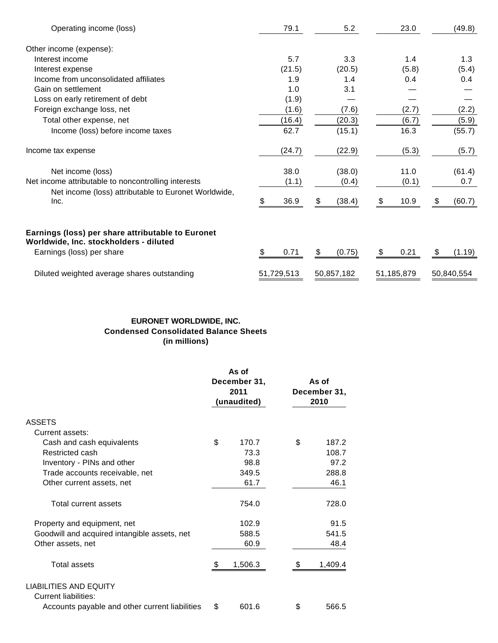| Operating income (loss)                                                                                                  | 79.1       | 5.2          | 23.0       | (49.8)       |
|--------------------------------------------------------------------------------------------------------------------------|------------|--------------|------------|--------------|
| Other income (expense):                                                                                                  |            |              |            |              |
| Interest income                                                                                                          | 5.7        | 3.3          | 1.4        | 1.3          |
| Interest expense                                                                                                         | (21.5)     | (20.5)       | (5.8)      | (5.4)        |
| Income from unconsolidated affiliates                                                                                    | 1.9        | 1.4          | 0.4        | 0.4          |
| Gain on settlement                                                                                                       | 1.0        | 3.1          |            |              |
| Loss on early retirement of debt                                                                                         | (1.9)      |              |            |              |
| Foreign exchange loss, net                                                                                               | (1.6)      | (7.6)        | (2.7)      | (2.2)        |
| Total other expense, net                                                                                                 | (16.4)     | (20.3)       | (6.7)      | (5.9)        |
| Income (loss) before income taxes                                                                                        | 62.7       | (15.1)       | 16.3       | (55.7)       |
| Income tax expense                                                                                                       | (24.7)     | (22.9)       | (5.3)      | (5.7)        |
| Net income (loss)                                                                                                        | 38.0       | (38.0)       | 11.0       | (61.4)       |
| Net income attributable to noncontrolling interests                                                                      | (1.1)      | (0.4)        | (0.1)      | 0.7          |
| Net income (loss) attributable to Euronet Worldwide,<br>Inc.                                                             | 36.9<br>\$ | \$<br>(38.4) | \$<br>10.9 | (60.7)<br>\$ |
| Earnings (loss) per share attributable to Euronet<br>Worldwide, Inc. stockholders - diluted<br>Earnings (loss) per share | 0.71<br>S  | \$<br>(0.75) | 0.21<br>\$ | \$<br>(1.19) |
|                                                                                                                          |            |              |            |              |
| Diluted weighted average shares outstanding                                                                              | 51,729,513 | 50,857,182   | 51,185,879 | 50,840,554   |

# **EURONET WORLDWIDE, INC. Condensed Consolidated Balance Sheets (in millions)**

|                                                       | As of<br>December 31,<br>2011<br>(unaudited) | As of<br>December 31,<br>2010 |
|-------------------------------------------------------|----------------------------------------------|-------------------------------|
| <b>ASSETS</b>                                         |                                              |                               |
| Current assets:                                       |                                              |                               |
| Cash and cash equivalents                             | \$<br>170.7                                  | \$<br>187.2                   |
| Restricted cash                                       | 73.3                                         | 108.7                         |
| Inventory - PINs and other                            | 98.8                                         | 97.2                          |
| Trade accounts receivable, net                        | 349.5                                        | 288.8                         |
| Other current assets, net                             | 61.7                                         | 46.1                          |
| Total current assets                                  | 754.0                                        | 728.0                         |
| Property and equipment, net                           | 102.9                                        | 91.5                          |
| Goodwill and acquired intangible assets, net          | 588.5                                        | 541.5                         |
| Other assets, net                                     | 60.9                                         | 48.4                          |
| Total assets                                          | 1,506.3                                      | 1,409.4                       |
| LIABILITIES AND EQUITY<br><b>Current liabilities:</b> |                                              |                               |
| Accounts payable and other current liabilities        | \$<br>601.6                                  | \$<br>566.5                   |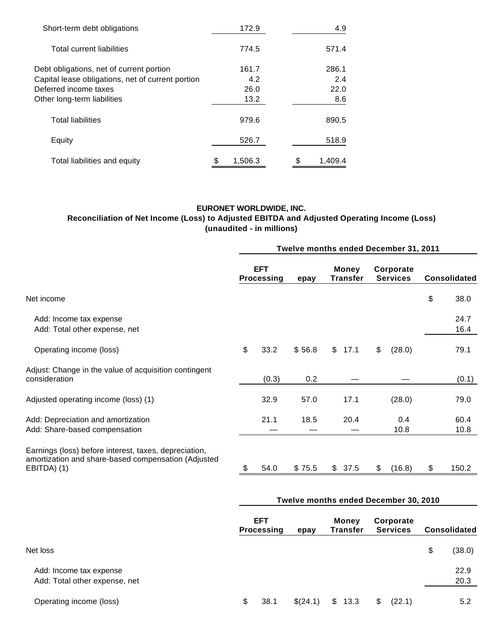| Short-term debt obligations                       | 172.9   | 4.9     |
|---------------------------------------------------|---------|---------|
| Total current liabilities                         | 774.5   | 571.4   |
| Debt obligations, net of current portion          | 161.7   | 286.1   |
| Capital lease obligations, net of current portion | 4.2     | 2.4     |
| Deferred income taxes                             | 26.0    | 22.0    |
| Other long-term liabilities                       | 13.2    | 8.6     |
| <b>Total liabilities</b>                          | 979.6   | 890.5   |
| Equity                                            | 526.7   | 518.9   |
| Total liabilities and equity                      | 1,506.3 | 1,409.4 |

# **EURONET WORLDWIDE, INC.**

# **Reconciliation of Net Income (Loss) to Adjusted EBITDA and Adjusted Operating Income (Loss) (unaudited - in millions)**

|                                                                                                                             | Twelve months ended December 31, 2011   |       |        |                          |      |    |                              |    |                     |
|-----------------------------------------------------------------------------------------------------------------------------|-----------------------------------------|-------|--------|--------------------------|------|----|------------------------------|----|---------------------|
|                                                                                                                             | <b>EFT</b><br><b>Processing</b><br>epay |       |        | <b>Money</b><br>Transfer |      |    | Corporate<br><b>Services</b> |    | <b>Consolidated</b> |
| Net income                                                                                                                  |                                         |       |        |                          |      |    |                              | \$ | 38.0                |
| Add: Income tax expense<br>Add: Total other expense, net                                                                    |                                         |       |        |                          |      |    |                              |    | 24.7<br>16.4        |
| Operating income (loss)                                                                                                     | \$                                      | 33.2  | \$56.8 | $\mathbb{S}$             | 17.1 | \$ | (28.0)                       |    | 79.1                |
| Adjust: Change in the value of acquisition contingent<br>consideration                                                      |                                         | (0.3) | 0.2    |                          |      |    |                              |    | (0.1)               |
| Adjusted operating income (loss) (1)                                                                                        |                                         | 32.9  | 57.0   |                          | 17.1 |    | (28.0)                       |    | 79.0                |
| Add: Depreciation and amortization<br>Add: Share-based compensation                                                         |                                         | 21.1  | 18.5   |                          | 20.4 |    | 0.4<br>10.8                  |    | 60.4<br>10.8        |
| Earnings (loss) before interest, taxes, depreciation,<br>amortization and share-based compensation (Adjusted<br>EBITDA) (1) |                                         | 54.0  | \$75.5 | \$37.5                   |      | \$ | (16.8)                       | \$ | 150.2               |

# **Twelve months ended December 30, 2010**

|                                                          | <b>EFT</b><br>Processing | epay     | <b>Money</b><br><b>Transfer</b> | Corporate<br><b>Services</b> | <b>Consolidated</b> |
|----------------------------------------------------------|--------------------------|----------|---------------------------------|------------------------------|---------------------|
| Net loss                                                 |                          |          |                                 |                              | \$<br>(38.0)        |
| Add: Income tax expense<br>Add: Total other expense, net |                          |          |                                 |                              | 22.9<br>20.3        |
| Operating income (loss)                                  | S<br>38.1                | \$(24.1) | \$<br>13.3                      | \$.<br>(22.1)                | 5.2                 |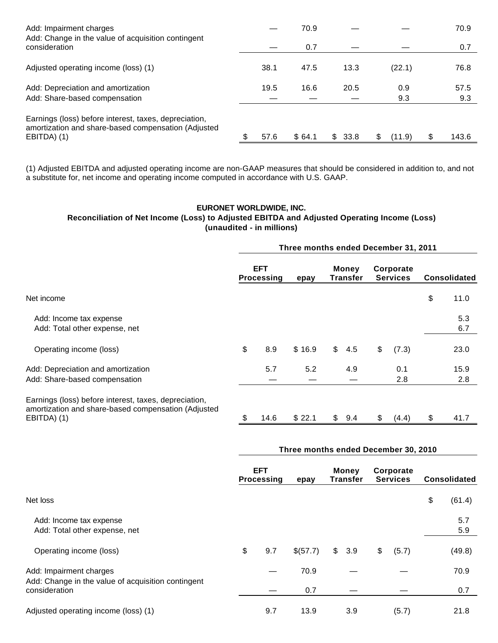| Add: Impairment charges<br>Add: Change in the value of acquisition contingent                                               |    |      | 70.9   |             |             | 70.9  |
|-----------------------------------------------------------------------------------------------------------------------------|----|------|--------|-------------|-------------|-------|
| consideration                                                                                                               |    |      | 0.7    |             |             | 0.7   |
| Adjusted operating income (loss) (1)                                                                                        |    | 38.1 | 47.5   | 13.3        | (22.1)      | 76.8  |
| Add: Depreciation and amortization                                                                                          |    | 19.5 | 16.6   | 20.5        | 0.9         | 57.5  |
| Add: Share-based compensation                                                                                               |    |      |        |             | 9.3         | 9.3   |
| Earnings (loss) before interest, taxes, depreciation,<br>amortization and share-based compensation (Adjusted<br>EBITDA) (1) | S. | 57.6 | \$64.1 | \$.<br>33.8 | S<br>(11.9) | 143.6 |

(1) Adjusted EBITDA and adjusted operating income are non-GAAP measures that should be considered in addition to, and not a substitute for, net income and operating income computed in accordance with U.S. GAAP.

# **EURONET WORLDWIDE, INC. Reconciliation of Net Income (Loss) to Adjusted EBITDA and Adjusted Operating Income (Loss) (unaudited - in millions)**

|                                                                                                                             | Three months ended December 31, 2011 |                                 |        |               |                   |    |                              |    |                     |  |  |
|-----------------------------------------------------------------------------------------------------------------------------|--------------------------------------|---------------------------------|--------|---------------|-------------------|----|------------------------------|----|---------------------|--|--|
|                                                                                                                             |                                      | <b>EFT</b><br><b>Processing</b> | epay   |               | Money<br>Transfer |    | Corporate<br><b>Services</b> |    | <b>Consolidated</b> |  |  |
| Net income                                                                                                                  |                                      |                                 |        |               |                   |    |                              | \$ | 11.0                |  |  |
| Add: Income tax expense<br>Add: Total other expense, net                                                                    |                                      |                                 |        |               |                   |    |                              |    | 5.3<br>6.7          |  |  |
| Operating income (loss)                                                                                                     | \$                                   | 8.9                             | \$16.9 | $\mathsf{\$}$ | 4.5               | \$ | (7.3)                        |    | 23.0                |  |  |
| Add: Depreciation and amortization                                                                                          |                                      | 5.7                             | 5.2    |               | 4.9               |    | 0.1                          |    | 15.9                |  |  |
| Add: Share-based compensation                                                                                               |                                      |                                 |        |               |                   |    | 2.8                          |    | 2.8                 |  |  |
| Earnings (loss) before interest, taxes, depreciation,<br>amortization and share-based compensation (Adjusted<br>EBITDA) (1) | \$                                   | 14.6                            | \$22.1 | \$            | 9.4               | \$ | (4.4)                        | \$ | 41.7                |  |  |

|                                                                     | Three months ended December 30, 2010 |                                 |          |               |                          |    |                              |    |                     |  |
|---------------------------------------------------------------------|--------------------------------------|---------------------------------|----------|---------------|--------------------------|----|------------------------------|----|---------------------|--|
|                                                                     |                                      | <b>EFT</b><br><b>Processing</b> | epay     |               | <b>Money</b><br>Transfer |    | Corporate<br><b>Services</b> |    | <b>Consolidated</b> |  |
| Net loss                                                            |                                      |                                 |          |               |                          |    |                              | \$ | (61.4)              |  |
| Add: Income tax expense<br>Add: Total other expense, net            |                                      |                                 |          |               |                          |    |                              |    | 5.7<br>5.9          |  |
| Operating income (loss)                                             | \$                                   | 9.7                             | \$(57.7) | $\mathsf{\$}$ | 3.9                      | \$ | (5.7)                        |    | (49.8)              |  |
| Add: Impairment charges                                             |                                      |                                 | 70.9     |               |                          |    |                              |    | 70.9                |  |
| Add: Change in the value of acquisition contingent<br>consideration |                                      |                                 | 0.7      |               |                          |    |                              |    | 0.7                 |  |
| Adjusted operating income (loss) (1)                                |                                      | 9.7                             | 13.9     |               | 3.9                      |    | (5.7)                        |    | 21.8                |  |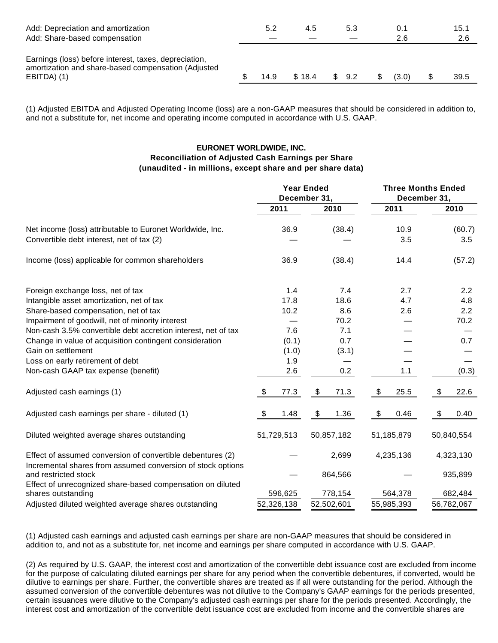| Add: Depreciation and amortization<br>Add: Share-based compensation                                                         | 5.2  | 4.5    |    | 5.3 | 0.1<br>2.6 | 15.1<br>2.6 |
|-----------------------------------------------------------------------------------------------------------------------------|------|--------|----|-----|------------|-------------|
| Earnings (loss) before interest, taxes, depreciation,<br>amortization and share-based compensation (Adjusted<br>EBITDA) (1) | 14.9 | \$18.4 | S. | 9.2 | (3.0)      | 39.5        |

(1) Adjusted EBITDA and Adjusted Operating Income (loss) are a non-GAAP measures that should be considered in addition to, and not a substitute for, net income and operating income computed in accordance with U.S. GAAP.

# **EURONET WORLDWIDE, INC. Reconciliation of Adjusted Cash Earnings per Share (unaudited - in millions, except share and per share data)**

| 2011<br>2010<br>2011<br>2010<br>(38.4)<br>36.9<br>10.9<br>(60.7)<br>3.5<br>3.5<br>36.9<br>(38.4)<br>14.4<br>(57.2)<br>1.4<br>7.4<br>2.7<br>2.2<br>17.8<br>18.6<br>4.7<br>4.8<br>10.2<br>8.6<br>2.2<br>2.6<br>Impairment of goodwill, net of minority interest<br>70.2<br>70.2<br>Non-cash 3.5% convertible debt accretion interest, net of tax<br>7.1<br>7.6<br>0.7<br>(0.1)<br>0.7<br>Gain on settlement<br>(1.0)<br>(3.1)<br>Loss on early retirement of debt<br>1.9<br>Non-cash GAAP tax expense (benefit)<br>2.6<br>0.2<br>1.1<br>(0.3)<br>77.3<br>\$<br>\$<br>25.5<br>\$<br>22.6<br>\$<br>71.3<br>$\boldsymbol{\mathsf{\$}}$<br>\$<br>$\boldsymbol{\mathsf{S}}$<br>\$<br>1.48<br>0.46<br>1.36<br>0.40<br>51,729,513<br>50,857,182<br>51,185,879<br>50,840,554<br>2,699<br>4,235,136<br>4,323,130<br>Incremental shares from assumed conversion of stock options<br>864,566<br>935,899<br>778,154<br>564,378<br>682,484<br>shares outstanding<br>596,625 |                                                            |            | <b>Year Ended</b><br>December 31, |            | <b>Three Months Ended</b><br>December 31, |  |  |
|--------------------------------------------------------------------------------------------------------------------------------------------------------------------------------------------------------------------------------------------------------------------------------------------------------------------------------------------------------------------------------------------------------------------------------------------------------------------------------------------------------------------------------------------------------------------------------------------------------------------------------------------------------------------------------------------------------------------------------------------------------------------------------------------------------------------------------------------------------------------------------------------------------------------------------------------------------------|------------------------------------------------------------|------------|-----------------------------------|------------|-------------------------------------------|--|--|
|                                                                                                                                                                                                                                                                                                                                                                                                                                                                                                                                                                                                                                                                                                                                                                                                                                                                                                                                                              |                                                            |            |                                   |            |                                           |  |  |
|                                                                                                                                                                                                                                                                                                                                                                                                                                                                                                                                                                                                                                                                                                                                                                                                                                                                                                                                                              | Net income (loss) attributable to Euronet Worldwide, Inc.  |            |                                   |            |                                           |  |  |
|                                                                                                                                                                                                                                                                                                                                                                                                                                                                                                                                                                                                                                                                                                                                                                                                                                                                                                                                                              | Convertible debt interest, net of tax (2)                  |            |                                   |            |                                           |  |  |
|                                                                                                                                                                                                                                                                                                                                                                                                                                                                                                                                                                                                                                                                                                                                                                                                                                                                                                                                                              | Income (loss) applicable for common shareholders           |            |                                   |            |                                           |  |  |
|                                                                                                                                                                                                                                                                                                                                                                                                                                                                                                                                                                                                                                                                                                                                                                                                                                                                                                                                                              | Foreign exchange loss, net of tax                          |            |                                   |            |                                           |  |  |
|                                                                                                                                                                                                                                                                                                                                                                                                                                                                                                                                                                                                                                                                                                                                                                                                                                                                                                                                                              | Intangible asset amortization, net of tax                  |            |                                   |            |                                           |  |  |
|                                                                                                                                                                                                                                                                                                                                                                                                                                                                                                                                                                                                                                                                                                                                                                                                                                                                                                                                                              | Share-based compensation, net of tax                       |            |                                   |            |                                           |  |  |
|                                                                                                                                                                                                                                                                                                                                                                                                                                                                                                                                                                                                                                                                                                                                                                                                                                                                                                                                                              |                                                            |            |                                   |            |                                           |  |  |
|                                                                                                                                                                                                                                                                                                                                                                                                                                                                                                                                                                                                                                                                                                                                                                                                                                                                                                                                                              |                                                            |            |                                   |            |                                           |  |  |
|                                                                                                                                                                                                                                                                                                                                                                                                                                                                                                                                                                                                                                                                                                                                                                                                                                                                                                                                                              | Change in value of acquisition contingent consideration    |            |                                   |            |                                           |  |  |
|                                                                                                                                                                                                                                                                                                                                                                                                                                                                                                                                                                                                                                                                                                                                                                                                                                                                                                                                                              |                                                            |            |                                   |            |                                           |  |  |
|                                                                                                                                                                                                                                                                                                                                                                                                                                                                                                                                                                                                                                                                                                                                                                                                                                                                                                                                                              |                                                            |            |                                   |            |                                           |  |  |
|                                                                                                                                                                                                                                                                                                                                                                                                                                                                                                                                                                                                                                                                                                                                                                                                                                                                                                                                                              |                                                            |            |                                   |            |                                           |  |  |
|                                                                                                                                                                                                                                                                                                                                                                                                                                                                                                                                                                                                                                                                                                                                                                                                                                                                                                                                                              | Adjusted cash earnings (1)                                 |            |                                   |            |                                           |  |  |
|                                                                                                                                                                                                                                                                                                                                                                                                                                                                                                                                                                                                                                                                                                                                                                                                                                                                                                                                                              | Adjusted cash earnings per share - diluted (1)             |            |                                   |            |                                           |  |  |
|                                                                                                                                                                                                                                                                                                                                                                                                                                                                                                                                                                                                                                                                                                                                                                                                                                                                                                                                                              | Diluted weighted average shares outstanding                |            |                                   |            |                                           |  |  |
|                                                                                                                                                                                                                                                                                                                                                                                                                                                                                                                                                                                                                                                                                                                                                                                                                                                                                                                                                              | Effect of assumed conversion of convertible debentures (2) |            |                                   |            |                                           |  |  |
|                                                                                                                                                                                                                                                                                                                                                                                                                                                                                                                                                                                                                                                                                                                                                                                                                                                                                                                                                              | and restricted stock                                       |            |                                   |            |                                           |  |  |
|                                                                                                                                                                                                                                                                                                                                                                                                                                                                                                                                                                                                                                                                                                                                                                                                                                                                                                                                                              | Effect of unrecognized share-based compensation on diluted |            |                                   |            |                                           |  |  |
|                                                                                                                                                                                                                                                                                                                                                                                                                                                                                                                                                                                                                                                                                                                                                                                                                                                                                                                                                              | Adjusted diluted weighted average shares outstanding       | 52,326,138 | 52,502,601                        | 55,985,393 | 56,782,067                                |  |  |

(1) Adjusted cash earnings and adjusted cash earnings per share are non-GAAP measures that should be considered in addition to, and not as a substitute for, net income and earnings per share computed in accordance with U.S. GAAP.

(2) As required by U.S. GAAP, the interest cost and amortization of the convertible debt issuance cost are excluded from income for the purpose of calculating diluted earnings per share for any period when the convertible debentures, if converted, would be dilutive to earnings per share. Further, the convertible shares are treated as if all were outstanding for the period. Although the assumed conversion of the convertible debentures was not dilutive to the Company's GAAP earnings for the periods presented, certain issuances were dilutive to the Company's adjusted cash earnings per share for the periods presented. Accordingly, the interest cost and amortization of the convertible debt issuance cost are excluded from income and the convertible shares are